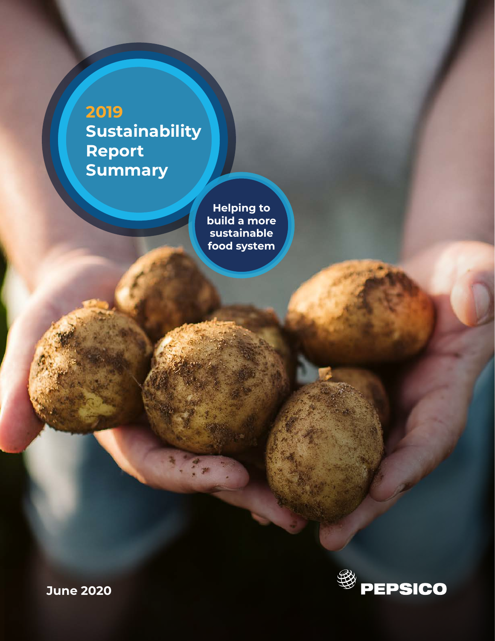**2019 Sustainability Report Summary**

> **Helping to build a more sustainable food system**



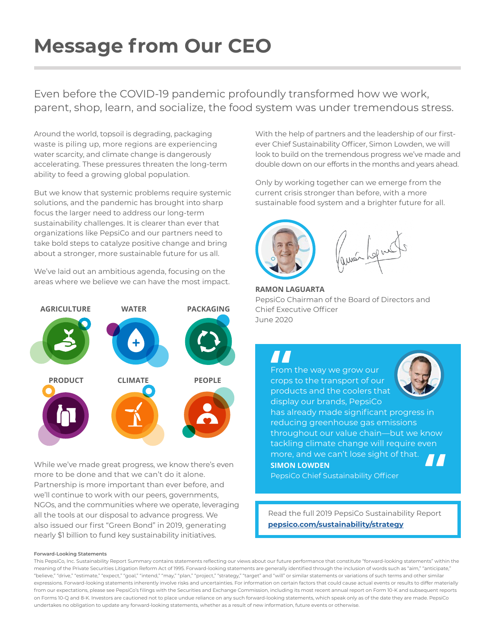## **Message from Our CEO**

Even before the COVID-19 pandemic profoundly transformed how we work, parent, shop, learn, and socialize, the food system was under tremendous stress.

Around the world, topsoil is degrading, packaging waste is piling up, more regions are experiencing water scarcity, and climate change is dangerously accelerating. These pressures threaten the long-term ability to feed a growing global population.

But we know that systemic problems require systemic solutions, and the pandemic has brought into sharp focus the larger need to address our long-term sustainability challenges. It is clearer than ever that organizations like PepsiCo and our partners need to take bold steps to catalyze positive change and bring about a stronger, more sustainable future for us all.

We've laid out an ambitious agenda, focusing on the areas where we believe we can have the most impact.



While we've made great progress, we know there's even more to be done and that we can't do it alone. Partnership is more important than ever before, and we'll continue to work with our peers, governments, NGOs, and the communities where we operate, leveraging all the tools at our disposal to advance progress. We also issued our first "Green Bond" in 2019, generating nearly \$1 billion to fund key sustainability initiatives.

With the help of partners and the leadership of our firstever Chief Sustainability Officer, Simon Lowden, we will look to build on the tremendous progress we've made and double down on our efforts in the months and years ahead.

Only by working together can we emerge from the current crisis stronger than before, with a more sustainable food system and a brighter future for all.



**RAMON LAGUARTA**  PepsiCo Chairman of the Board of Directors and Chief Executive Officer June 2020

From the way we grow our crops to the transport of our products and the coolers that **||**<br>From<br>crops<br>produ

**SIMON LOWDEN**  display our brands, PepsiCo has already made significant progress in reducing greenhouse gas emissions throughout our value chain—but we know tackling climate change will require even more, and we can't lose sight of that. **"**



PepsiCo Chief Sustainability Officer

Read the full 2019 PepsiCo Sustainability Report **[pepsico.com/sustainability/strategy](www.pepsico.com/sustainability/strategy)**

#### **Forward-Looking Statements**

This PepsiCo, Inc. Sustainability Report Summary contains statements reflecting our views about our future performance that constitute "forward-looking statements" within the meaning of the Private Securities Litigation Reform Act of 1995. Forward-looking statements are generally identified through the inclusion of words such as "aim," "anticipate," "believe," "drive," "estimate," "expect," "goal," "intend," "may," "plan," "project," "strategy," "target" and "will" or similar statements or variations of such terms and other similar expressions. Forward-looking statements inherently involve risks and uncertainties. For information on certain factors that could cause actual events or results to differ materially from our expectations, please see PepsiCo's filings with the Securities and Exchange Commission, including its most recent annual report on Form 10-K and subsequent reports on Forms 10-Q and 8-K. Investors are cautioned not to place undue reliance on any such forward-looking statements, which speak only as of the date they are made. PepsiCo undertakes no obligation to update any forward-looking statements, whether as a result of new information, future events or otherwise.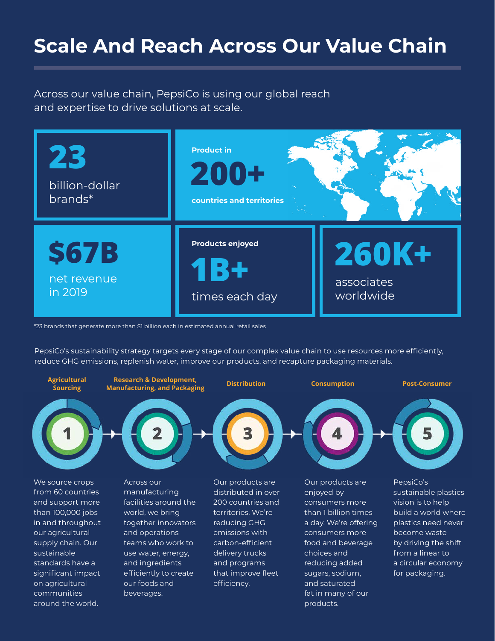### **Scale And Reach Across Our Value Chain**

Across our value chain, PepsiCo is using our global reach and expertise to drive solutions at scale.



\*23 brands that generate more than \$1 billion each in estimated annual retail sales

PepsiCo's sustainability strategy targets every stage of our complex value chain to use resources more efficiently, reduce GHG emissions, replenish water, improve our products, and recapture packaging materials.



We source crops from 60 countries and support more than 100,000 jobs in and throughout our agricultural supply chain. Our sustainable standards have a significant impact on agricultural communities around the world.

Across our manufacturing facilities around the world, we bring together innovators and operations teams who work to use water, energy, and ingredients efficiently to create our foods and beverages.

Our products are distributed in over 200 countries and territories. We're reducing GHG emissions with carbon-efficient delivery trucks and programs that improve fleet efficiency.

Our products are enjoyed by consumers more than 1 billion times a day. We're offering consumers more food and beverage choices and reducing added sugars, sodium, and saturated fat in many of our products.

PepsiCo's sustainable plastics vision is to help build a world where plastics need never become waste by driving the shift from a linear to a circular economy for packaging.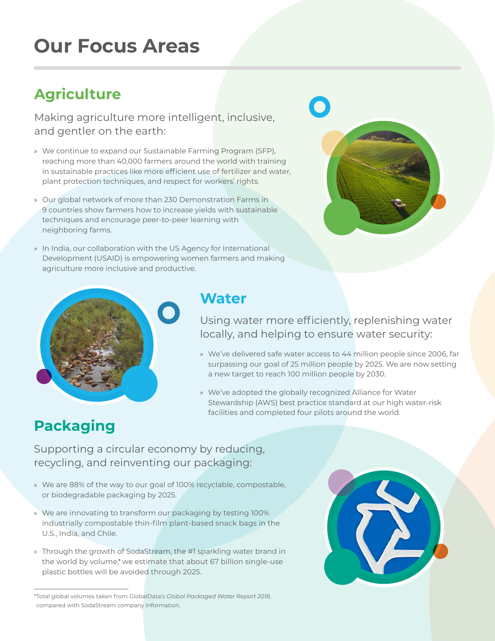## **Our Focus Areas**

### **Agriculture**

Making agriculture more intelligent, inclusive, and gentler on the earth:

- » We continue to expand our Sustainable Farming Program (SFP), reaching more than 40,000 farmers around the world with training in sustainable practices like more efficient use of fertilizer and water, plant protection techniques, and respect for workers' rights.
- » Our global network of more than 230 Demonstration Farms in 9 countries show farmers how to increase yields with sustainable techniques and encourage peer-to-peer learning with neighboring farms.
- » In India, our collaboration with the US Agency for International Development (USAID) is empowering women farmers and making agriculture more inclusive and productive.





#### **Water**

Using water more efficiently, replenishing water locally, and helping to ensure water security:

- » We've delivered safe water access to 44 million people since 2006, far surpassing our goal of 25 million people by 2025. We are now setting a new target to reach 100 million people by 2030.
- » We've adopted the globally recognized Alliance for Water Stewardship (AWS) best practice standard at our high water-risk facilities and completed four pilots around the world.

### **Packaging**

Supporting a circular economy by reducing, recycling, and reinventing our packaging:

- » We are 88% of the way to our goal of 100% recyclable, compostable, or biodegradable packaging by 2025.
- » We are innovating to transform our packaging by testing 100% industrially compostable thin-film plant-based snack bags in the U.S., India, and Chile.
- » Through the growth of SodaStream, the #1 sparkling water brand in the world by volume,\* we estimate that about 67 billion single-use plastic bottles will be avoided through 2025.



<sup>\*</sup>Total global volumes taken from GlobalData's *Global Packaged Water Report 2018*, compared with SodaStream company information.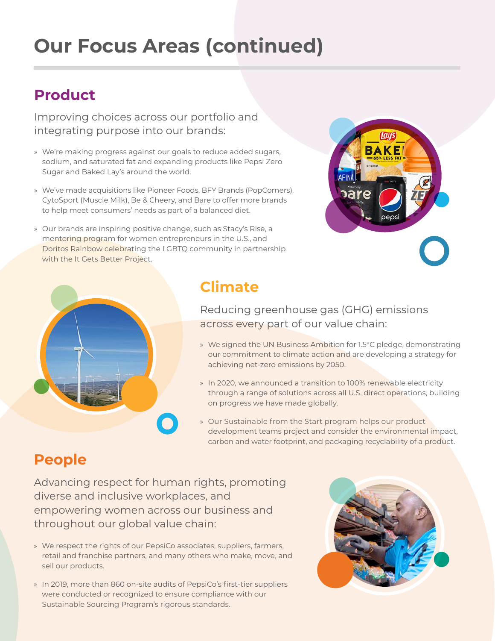## **Our Focus Areas (continued)**

#### **Product**

Improving choices across our portfolio and integrating purpose into our brands:

- » We're making progress against our goals to reduce added sugars, sodium, and saturated fat and expanding products like Pepsi Zero Sugar and Baked Lay's around the world.
- » We've made acquisitions like Pioneer Foods, BFY Brands (PopCorners), CytoSport (Muscle Milk), Be & Cheery, and Bare to offer more brands to help meet consumers' needs as part of a balanced diet.
- » Our brands are inspiring positive change, such as Stacy's Rise, a mentoring program for women entrepreneurs in the U.S., and Doritos Rainbow celebrating the LGBTQ community in partnership with the It Gets Better Project.





### **Climate**

Reducing greenhouse gas (GHG) emissions across every part of our value chain:

- » We signed the UN Business Ambition for 1.5°C pledge, demonstrating our commitment to climate action and are developing a strategy for achieving net-zero emissions by 2050.
- » In 2020, we announced a transition to 100% renewable electricity through a range of solutions across all U.S. direct operations, building on progress we have made globally.
- » Our Sustainable from the Start program helps our product development teams project and consider the environmental impact, carbon and water footprint, and packaging recyclability of a product.

#### **People**

Advancing respect for human rights, promoting diverse and inclusive workplaces, and empowering women across our business and throughout our global value chain:

- » We respect the rights of our PepsiCo associates, suppliers, farmers, retail and franchise partners, and many others who make, move, and sell our products.
- » In 2019, more than 860 on-site audits of PepsiCo's first-tier suppliers were conducted or recognized to ensure compliance with our Sustainable Sourcing Program's rigorous standards.

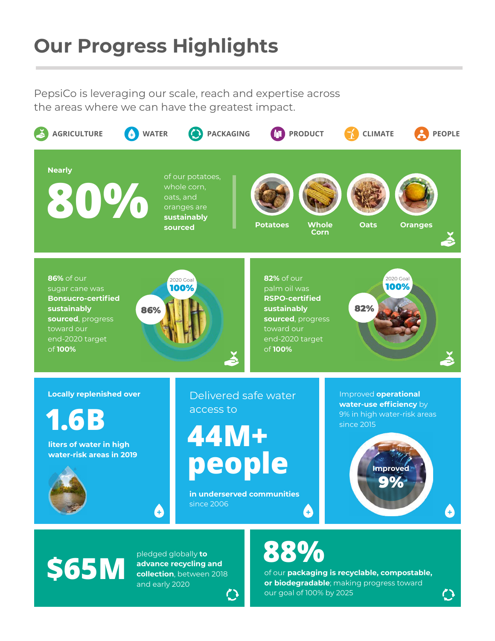## **Our Progress Highlights**

PepsiCo is leveraging our scale, reach and expertise across the areas where we can have the greatest impact.



pledged globally **to**<br> **\$65M** collection, between

**advance recycling and collection**, between 2018 and early 2020

# **88%**

of our **packaging is recyclable, compostable, or biodegradable**; making progress toward our goal of 100% by 2025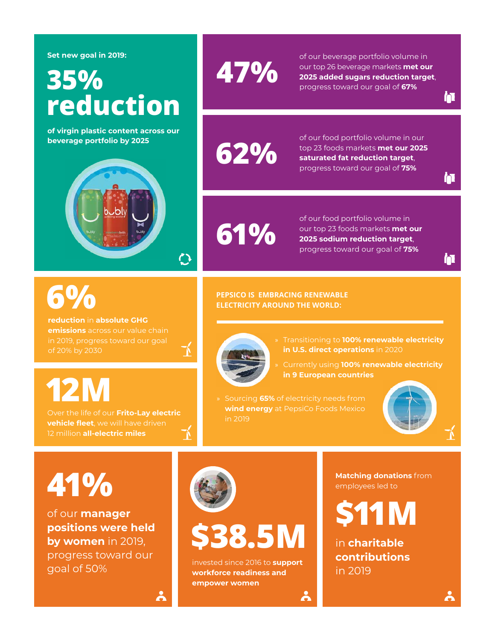**Set new goal in 2019:**

# **35% reduction**

**of virgin plastic content across our beverage portfolio by 2025**



# **6%**

**reduction** in **absolute GHG emissions** across our value chain of 20% by 2030

# **12M**

Over the life of our **Frito-Lay electric vehicle fleet**, we will have driven 12 million **all-electric miles** 

# **47%**

of our beverage portfolio volume in our top 26 beverage markets **met our 2025 added sugars reduction target**, progress toward our goal of **67%**

**62%**

of our food portfolio volume in our top 23 foods markets **met our 2025 saturated fat reduction target**, progress toward our goal of **75%**

**61%**

of our food portfolio volume in our top 23 foods markets **met our 2025 sodium reduction target**, progress toward our goal of **75%**

h

n

n

#### **PEPSICO IS EMBRACING RENEWABLE ELECTRICITY AROUND THE WORLD:**



飞

- » Transitioning to **100% renewable electricity in U.S. direct operations** in 2020
- » Currently using **100% renewable electricity in 9 European countries**
- » Sourcing **65%** of electricity needs from **wind energy** at PepsiCo Foods Mexico in 2019

င်္ဂ



**41%**

of our **manager positions were held by women** in 2019, progress toward our goal of 50% invested since 2016 to **support** 

 $\lambda$ 



# **\$38.5M**

**workforce readiness and empower women**

**Matching donations** from employees led to

**\$11M**

in **charitable contributions** in 2019